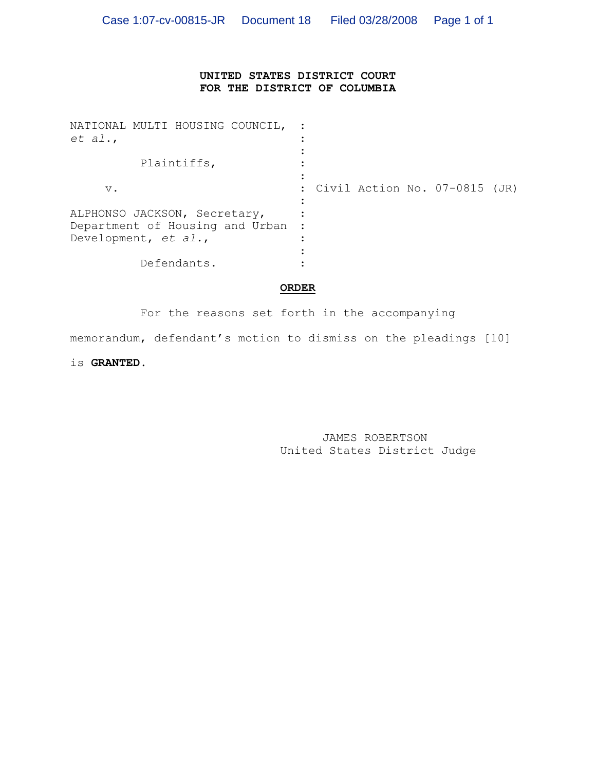# **UNITED STATES DISTRICT COURT FOR THE DISTRICT OF COLUMBIA**

| NATIONAL MULTI HOUSING COUNCIL,<br>et al.,                                                |                                 |
|-------------------------------------------------------------------------------------------|---------------------------------|
| Plaintiffs,                                                                               |                                 |
| $V$ .                                                                                     | : Civil Action No. 07-0815 (JR) |
| ALPHONSO JACKSON, Secretary,<br>Department of Housing and Urban<br>Development, $et al.,$ |                                 |
| Defendants.                                                                               |                                 |

# **ORDER**

For the reasons set forth in the accompanying memorandum, defendant's motion to dismiss on the pleadings [10]

is **GRANTED**.

 JAMES ROBERTSON United States District Judge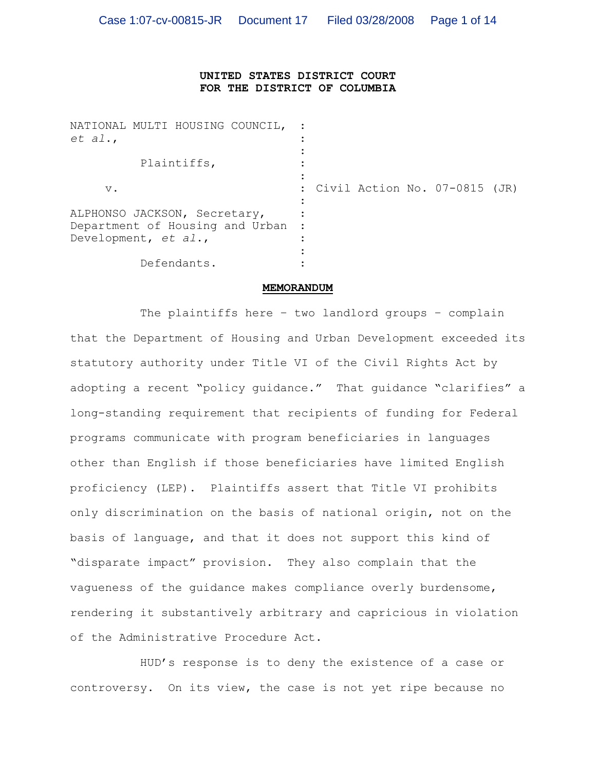## **UNITED STATES DISTRICT COURT FOR THE DISTRICT OF COLUMBIA**

| NATIONAL MULTI HOUSING COUNCIL,<br>et al.,                                                |                                 |
|-------------------------------------------------------------------------------------------|---------------------------------|
| Plaintiffs,                                                                               |                                 |
| $V$ .                                                                                     | : Civil Action No. 07-0815 (JR) |
| ALPHONSO JACKSON, Secretary,<br>Department of Housing and Urban<br>Development, $et al.,$ |                                 |
| Defendants.                                                                               |                                 |

#### **MEMORANDUM**

The plaintiffs here – two landlord groups – complain that the Department of Housing and Urban Development exceeded its statutory authority under Title VI of the Civil Rights Act by adopting a recent "policy guidance." That guidance "clarifies" a long-standing requirement that recipients of funding for Federal programs communicate with program beneficiaries in languages other than English if those beneficiaries have limited English proficiency (LEP). Plaintiffs assert that Title VI prohibits only discrimination on the basis of national origin, not on the basis of language, and that it does not support this kind of "disparate impact" provision. They also complain that the vagueness of the guidance makes compliance overly burdensome, rendering it substantively arbitrary and capricious in violation of the Administrative Procedure Act.

HUD's response is to deny the existence of a case or controversy. On its view, the case is not yet ripe because no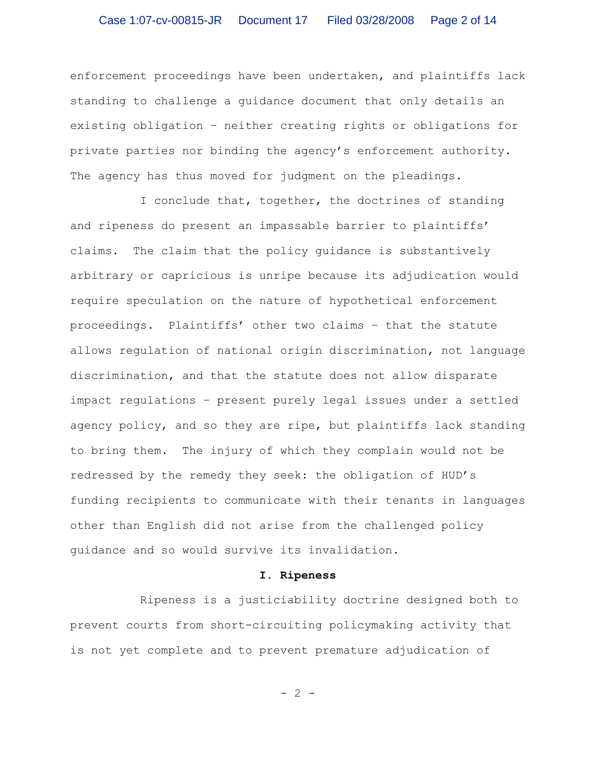enforcement proceedings have been undertaken, and plaintiffs lack standing to challenge a guidance document that only details an existing obligation – neither creating rights or obligations for private parties nor binding the agency's enforcement authority. The agency has thus moved for judgment on the pleadings.

I conclude that, together, the doctrines of standing and ripeness do present an impassable barrier to plaintiffs' claims. The claim that the policy guidance is substantively arbitrary or capricious is unripe because its adjudication would require speculation on the nature of hypothetical enforcement proceedings. Plaintiffs' other two claims – that the statute allows regulation of national origin discrimination, not language discrimination, and that the statute does not allow disparate impact regulations – present purely legal issues under a settled agency policy, and so they are ripe, but plaintiffs lack standing to bring them. The injury of which they complain would not be redressed by the remedy they seek: the obligation of HUD's funding recipients to communicate with their tenants in languages other than English did not arise from the challenged policy guidance and so would survive its invalidation.

### **I. Ripeness**

Ripeness is a justiciability doctrine designed both to prevent courts from short-circuiting policymaking activity that is not yet complete and to prevent premature adjudication of

 $- 2 -$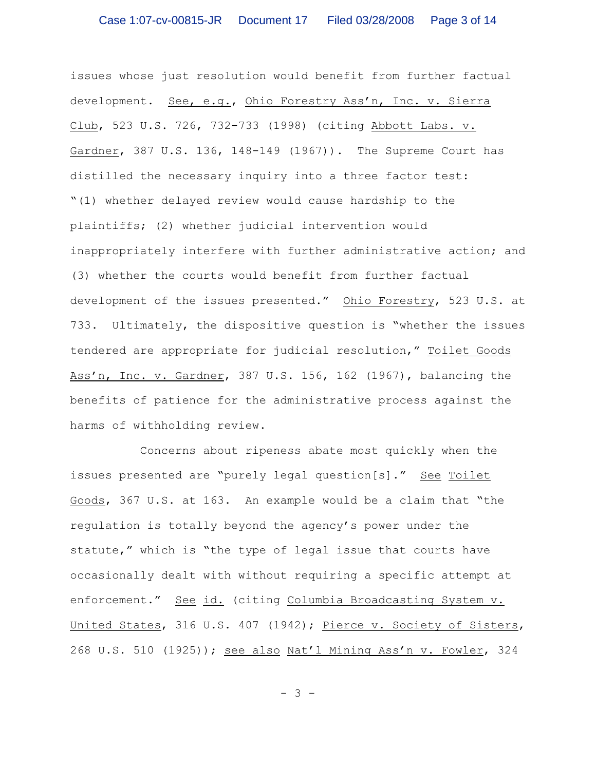issues whose just resolution would benefit from further factual development. See, e.g., Ohio Forestry Ass'n, Inc. v. Sierra Club, 523 U.S. 726, 732-733 (1998) (citing Abbott Labs. v. Gardner, 387 U.S. 136, 148-149 (1967)). The Supreme Court has distilled the necessary inquiry into a three factor test: "(1) whether delayed review would cause hardship to the plaintiffs; (2) whether judicial intervention would inappropriately interfere with further administrative action; and (3) whether the courts would benefit from further factual development of the issues presented." Ohio Forestry, 523 U.S. at 733. Ultimately, the dispositive question is "whether the issues tendered are appropriate for judicial resolution," Toilet Goods Ass'n, Inc. v. Gardner, 387 U.S. 156, 162 (1967), balancing the benefits of patience for the administrative process against the harms of withholding review.

Concerns about ripeness abate most quickly when the issues presented are "purely legal question[s]." See Toilet Goods, 367 U.S. at 163. An example would be a claim that "the regulation is totally beyond the agency's power under the statute," which is "the type of legal issue that courts have occasionally dealt with without requiring a specific attempt at enforcement." See id. (citing Columbia Broadcasting System v. United States, 316 U.S. 407 (1942); Pierce v. Society of Sisters, 268 U.S. 510 (1925)); see also Nat'l Mining Ass'n v. Fowler, 324

- 3 -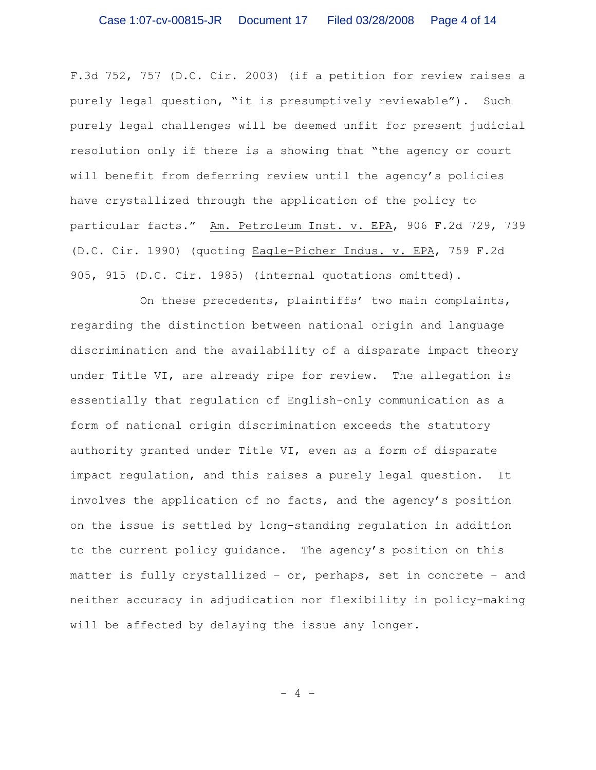F.3d 752, 757 (D.C. Cir. 2003) (if a petition for review raises a purely legal question, "it is presumptively reviewable"). Such purely legal challenges will be deemed unfit for present judicial resolution only if there is a showing that "the agency or court will benefit from deferring review until the agency's policies have crystallized through the application of the policy to particular facts." Am. Petroleum Inst. v. EPA, 906 F.2d 729, 739 (D.C. Cir. 1990) (quoting Eagle-Picher Indus. v. EPA, 759 F.2d 905, 915 (D.C. Cir. 1985) (internal quotations omitted).

On these precedents, plaintiffs' two main complaints, regarding the distinction between national origin and language discrimination and the availability of a disparate impact theory under Title VI, are already ripe for review. The allegation is essentially that regulation of English-only communication as a form of national origin discrimination exceeds the statutory authority granted under Title VI, even as a form of disparate impact regulation, and this raises a purely legal question. It involves the application of no facts, and the agency's position on the issue is settled by long-standing regulation in addition to the current policy guidance. The agency's position on this matter is fully crystallized – or, perhaps, set in concrete – and neither accuracy in adjudication nor flexibility in policy-making will be affected by delaying the issue any longer.

- 4 -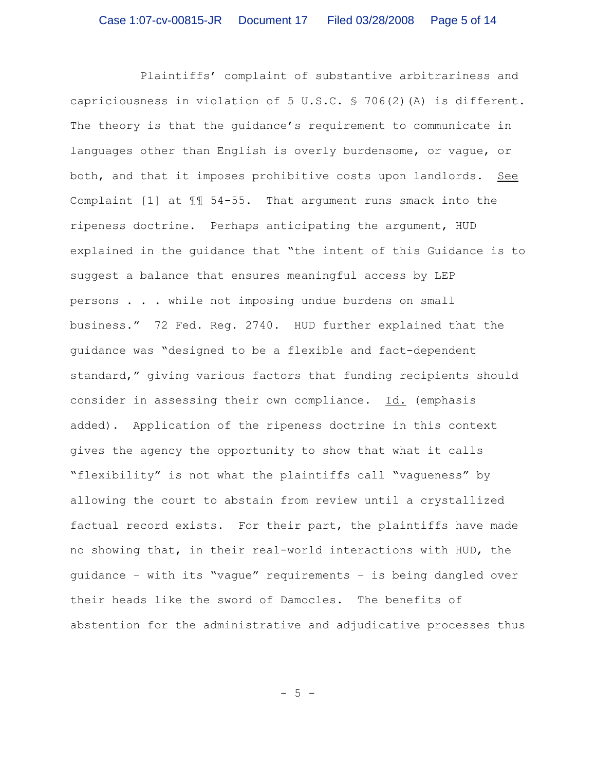Plaintiffs' complaint of substantive arbitrariness and capriciousness in violation of 5 U.S.C.  $\frac{1}{5}$  706(2)(A) is different. The theory is that the quidance's requirement to communicate in languages other than English is overly burdensome, or vague, or both, and that it imposes prohibitive costs upon landlords. See Complaint [1] at ¶¶ 54-55. That argument runs smack into the ripeness doctrine. Perhaps anticipating the argument, HUD explained in the guidance that "the intent of this Guidance is to suggest a balance that ensures meaningful access by LEP persons . . . while not imposing undue burdens on small business." 72 Fed. Reg. 2740. HUD further explained that the guidance was "designed to be a flexible and fact-dependent standard," giving various factors that funding recipients should consider in assessing their own compliance. Id. (emphasis added). Application of the ripeness doctrine in this context gives the agency the opportunity to show that what it calls "flexibility" is not what the plaintiffs call "vagueness" by allowing the court to abstain from review until a crystallized factual record exists. For their part, the plaintiffs have made no showing that, in their real-world interactions with HUD, the guidance – with its "vague" requirements – is being dangled over their heads like the sword of Damocles. The benefits of abstention for the administrative and adjudicative processes thus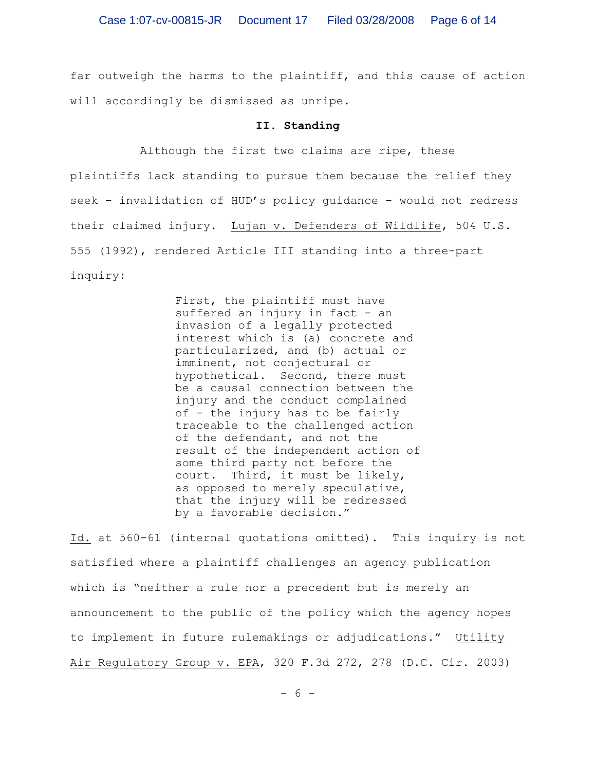far outweigh the harms to the plaintiff, and this cause of action will accordingly be dismissed as unripe.

## **II. Standing**

Although the first two claims are ripe, these plaintiffs lack standing to pursue them because the relief they seek – invalidation of HUD's policy guidance – would not redress their claimed injury. Lujan v. Defenders of Wildlife, 504 U.S. 555 (1992), rendered Article III standing into a three-part inquiry:

> First, the plaintiff must have suffered an injury in fact - an invasion of a legally protected interest which is (a) concrete and particularized, and (b) actual or imminent, not conjectural or hypothetical. Second, there must be a causal connection between the injury and the conduct complained of - the injury has to be fairly traceable to the challenged action of the defendant, and not the result of the independent action of some third party not before the court. Third, it must be likely, as opposed to merely speculative, that the injury will be redressed by a favorable decision."

Id. at 560-61 (internal quotations omitted). This inquiry is not satisfied where a plaintiff challenges an agency publication which is "neither a rule nor a precedent but is merely an announcement to the public of the policy which the agency hopes to implement in future rulemakings or adjudications." Utility Air Regulatory Group v. EPA, 320 F.3d 272, 278 (D.C. Cir. 2003)

- 6 -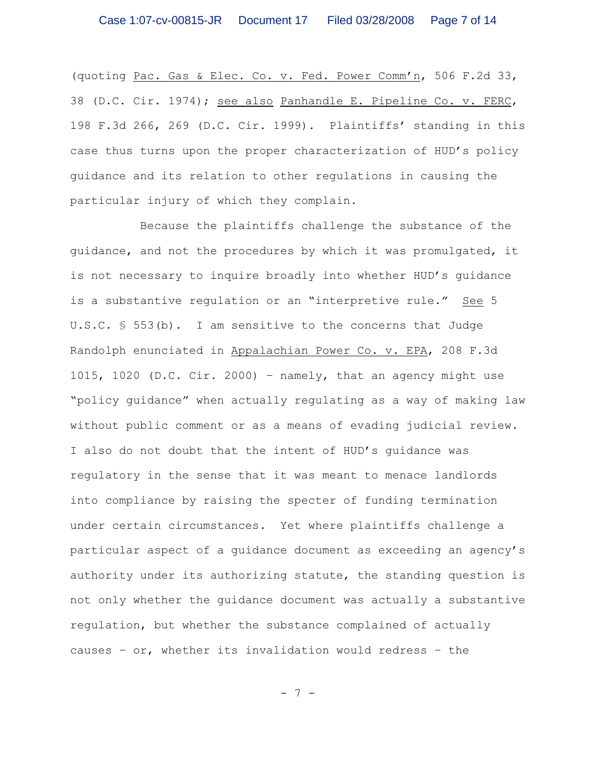(quoting Pac. Gas & Elec. Co. v. Fed. Power Comm'n, 506 F.2d 33, 38 (D.C. Cir. 1974); see also Panhandle E. Pipeline Co. v. FERC, 198 F.3d 266, 269 (D.C. Cir. 1999). Plaintiffs' standing in this case thus turns upon the proper characterization of HUD's policy guidance and its relation to other regulations in causing the particular injury of which they complain.

Because the plaintiffs challenge the substance of the guidance, and not the procedures by which it was promulgated, it is not necessary to inquire broadly into whether HUD's guidance is a substantive regulation or an "interpretive rule." See 5 U.S.C. § 553(b). I am sensitive to the concerns that Judge Randolph enunciated in Appalachian Power Co. v. EPA, 208 F.3d 1015, 1020 (D.C. Cir. 2000) – namely, that an agency might use "policy guidance" when actually regulating as a way of making law without public comment or as a means of evading judicial review. I also do not doubt that the intent of HUD's guidance was regulatory in the sense that it was meant to menace landlords into compliance by raising the specter of funding termination under certain circumstances. Yet where plaintiffs challenge a particular aspect of a guidance document as exceeding an agency's authority under its authorizing statute, the standing question is not only whether the guidance document was actually a substantive regulation, but whether the substance complained of actually causes – or, whether its invalidation would redress – the

- 7 -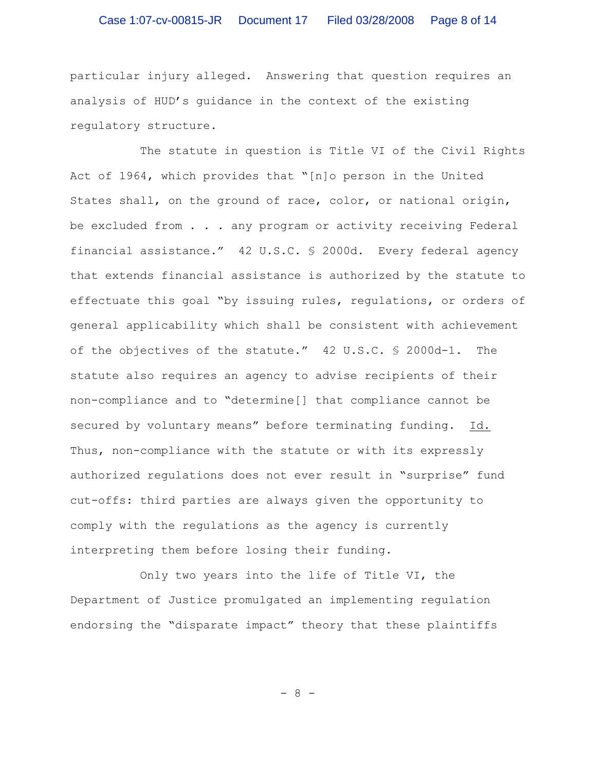particular injury alleged. Answering that question requires an analysis of HUD's guidance in the context of the existing regulatory structure.

The statute in question is Title VI of the Civil Rights Act of 1964, which provides that "[n]o person in the United States shall, on the ground of race, color, or national origin, be excluded from . . . any program or activity receiving Federal financial assistance." 42 U.S.C. § 2000d. Every federal agency that extends financial assistance is authorized by the statute to effectuate this goal "by issuing rules, regulations, or orders of general applicability which shall be consistent with achievement of the objectives of the statute." 42 U.S.C. § 2000d-1. The statute also requires an agency to advise recipients of their non-compliance and to "determine[] that compliance cannot be secured by voluntary means" before terminating funding. Id. Thus, non-compliance with the statute or with its expressly authorized regulations does not ever result in "surprise" fund cut-offs: third parties are always given the opportunity to comply with the regulations as the agency is currently interpreting them before losing their funding.

Only two years into the life of Title VI, the Department of Justice promulgated an implementing regulation endorsing the "disparate impact" theory that these plaintiffs

- 8 -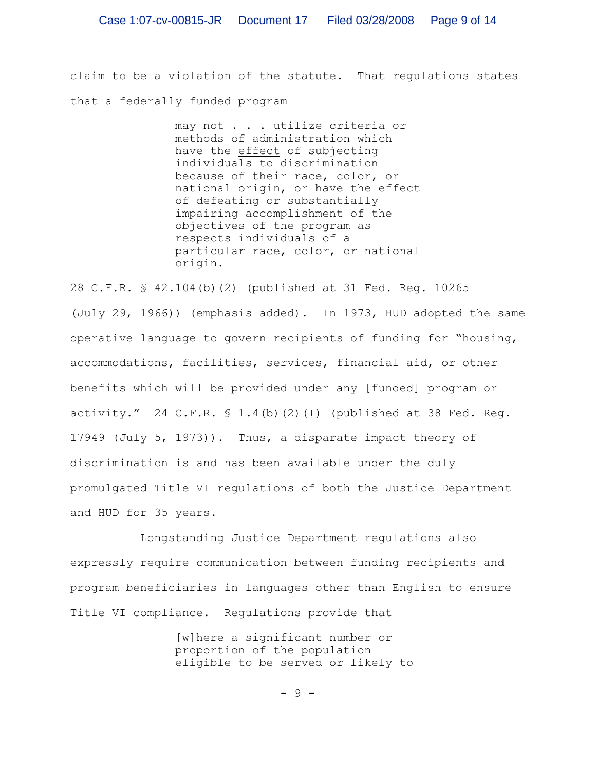claim to be a violation of the statute. That regulations states that a federally funded program

> may not . . . utilize criteria or methods of administration which have the effect of subjecting individuals to discrimination because of their race, color, or national origin, or have the effect of defeating or substantially impairing accomplishment of the objectives of the program as respects individuals of a particular race, color, or national origin.

28 C.F.R. § 42.104(b)(2) (published at 31 Fed. Reg. 10265 (July 29, 1966)) (emphasis added). In 1973, HUD adopted the same operative language to govern recipients of funding for "housing, accommodations, facilities, services, financial aid, or other benefits which will be provided under any [funded] program or activity." 24 C.F.R.  $$ 1.4(b) (2) (I)$  (published at 38 Fed. Req. 17949 (July 5, 1973)). Thus, a disparate impact theory of discrimination is and has been available under the duly promulgated Title VI regulations of both the Justice Department and HUD for 35 years.

Longstanding Justice Department regulations also expressly require communication between funding recipients and program beneficiaries in languages other than English to ensure Title VI compliance. Regulations provide that

> [w]here a significant number or proportion of the population eligible to be served or likely to

> > - 9 -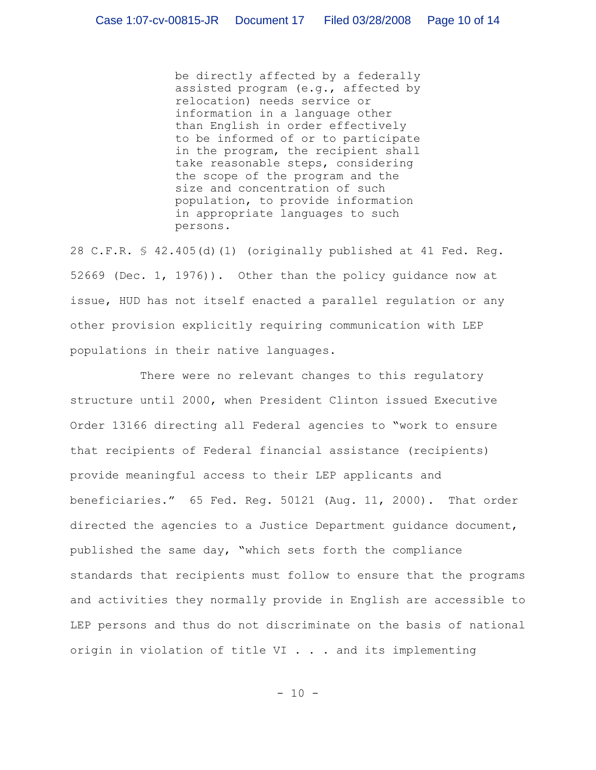be directly affected by a federally assisted program (e.g., affected by relocation) needs service or information in a language other than English in order effectively to be informed of or to participate in the program, the recipient shall take reasonable steps, considering the scope of the program and the size and concentration of such population, to provide information in appropriate languages to such persons.

28 C.F.R. § 42.405(d)(1) (originally published at 41 Fed. Reg. 52669 (Dec. 1, 1976)). Other than the policy guidance now at issue, HUD has not itself enacted a parallel regulation or any other provision explicitly requiring communication with LEP populations in their native languages.

There were no relevant changes to this regulatory structure until 2000, when President Clinton issued Executive Order 13166 directing all Federal agencies to "work to ensure that recipients of Federal financial assistance (recipients) provide meaningful access to their LEP applicants and beneficiaries." 65 Fed. Reg. 50121 (Aug. 11, 2000). That order directed the agencies to a Justice Department guidance document, published the same day, "which sets forth the compliance standards that recipients must follow to ensure that the programs and activities they normally provide in English are accessible to LEP persons and thus do not discriminate on the basis of national origin in violation of title VI . . . and its implementing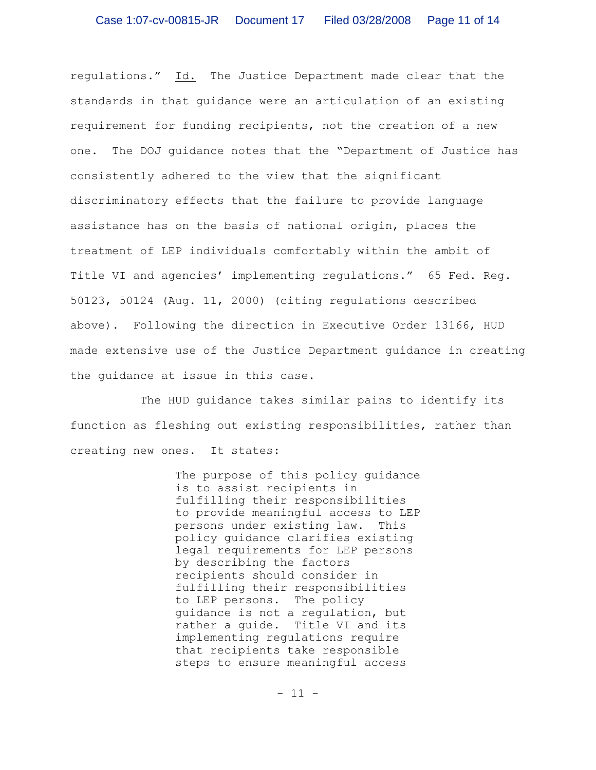regulations." Id. The Justice Department made clear that the standards in that guidance were an articulation of an existing requirement for funding recipients, not the creation of a new one. The DOJ guidance notes that the "Department of Justice has consistently adhered to the view that the significant discriminatory effects that the failure to provide language assistance has on the basis of national origin, places the treatment of LEP individuals comfortably within the ambit of Title VI and agencies' implementing regulations." 65 Fed. Reg. 50123, 50124 (Aug. 11, 2000) (citing regulations described above). Following the direction in Executive Order 13166, HUD made extensive use of the Justice Department guidance in creating the guidance at issue in this case.

The HUD guidance takes similar pains to identify its function as fleshing out existing responsibilities, rather than creating new ones. It states:

> The purpose of this policy guidance is to assist recipients in fulfilling their responsibilities to provide meaningful access to LEP persons under existing law. This policy guidance clarifies existing legal requirements for LEP persons by describing the factors recipients should consider in fulfilling their responsibilities to LEP persons. The policy guidance is not a regulation, but rather a guide. Title VI and its implementing regulations require that recipients take responsible steps to ensure meaningful access

> > - 11 -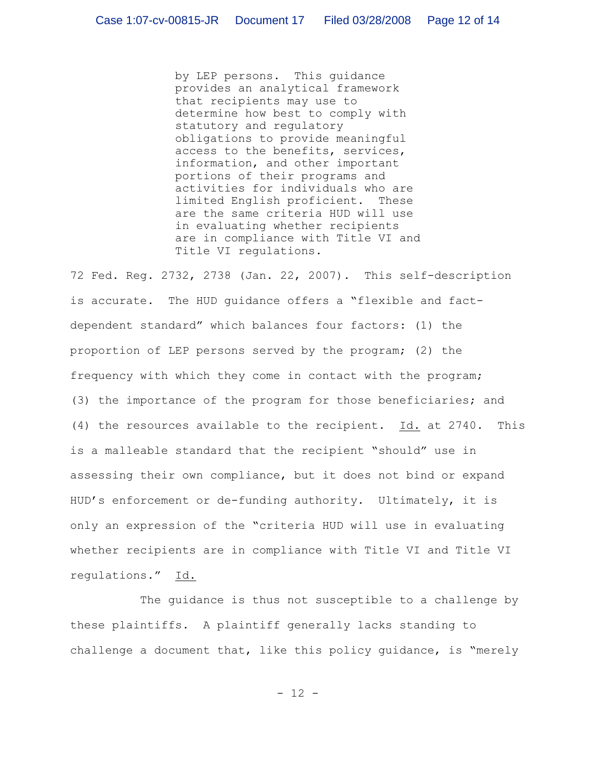by LEP persons. This guidance provides an analytical framework that recipients may use to determine how best to comply with statutory and regulatory obligations to provide meaningful access to the benefits, services, information, and other important portions of their programs and activities for individuals who are limited English proficient. These are the same criteria HUD will use in evaluating whether recipients are in compliance with Title VI and Title VI regulations.

72 Fed. Reg. 2732, 2738 (Jan. 22, 2007). This self-description is accurate. The HUD guidance offers a "flexible and factdependent standard" which balances four factors: (1) the proportion of LEP persons served by the program; (2) the frequency with which they come in contact with the program; (3) the importance of the program for those beneficiaries; and (4) the resources available to the recipient. Id. at 2740. This is a malleable standard that the recipient "should" use in assessing their own compliance, but it does not bind or expand HUD's enforcement or de-funding authority. Ultimately, it is only an expression of the "criteria HUD will use in evaluating whether recipients are in compliance with Title VI and Title VI regulations." Id.

The guidance is thus not susceptible to a challenge by these plaintiffs. A plaintiff generally lacks standing to challenge a document that, like this policy guidance, is "merely

- 12 -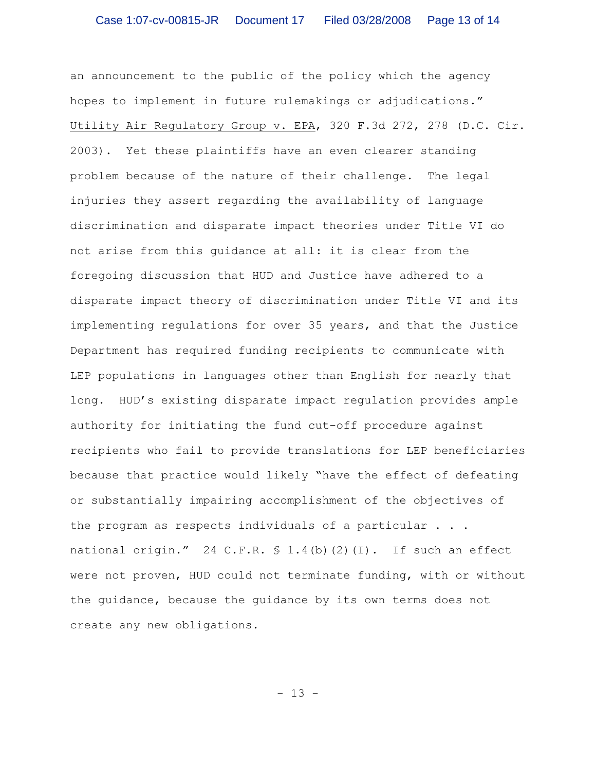an announcement to the public of the policy which the agency hopes to implement in future rulemakings or adjudications." Utility Air Regulatory Group v. EPA, 320 F.3d 272, 278 (D.C. Cir. 2003). Yet these plaintiffs have an even clearer standing problem because of the nature of their challenge. The legal injuries they assert regarding the availability of language discrimination and disparate impact theories under Title VI do not arise from this guidance at all: it is clear from the foregoing discussion that HUD and Justice have adhered to a disparate impact theory of discrimination under Title VI and its implementing regulations for over 35 years, and that the Justice Department has required funding recipients to communicate with LEP populations in languages other than English for nearly that long. HUD's existing disparate impact regulation provides ample authority for initiating the fund cut-off procedure against recipients who fail to provide translations for LEP beneficiaries because that practice would likely "have the effect of defeating or substantially impairing accomplishment of the objectives of the program as respects individuals of a particular . . . national origin." 24 C.F.R. § 1.4(b)(2)(I). If such an effect were not proven, HUD could not terminate funding, with or without the guidance, because the guidance by its own terms does not create any new obligations.

- 13 -